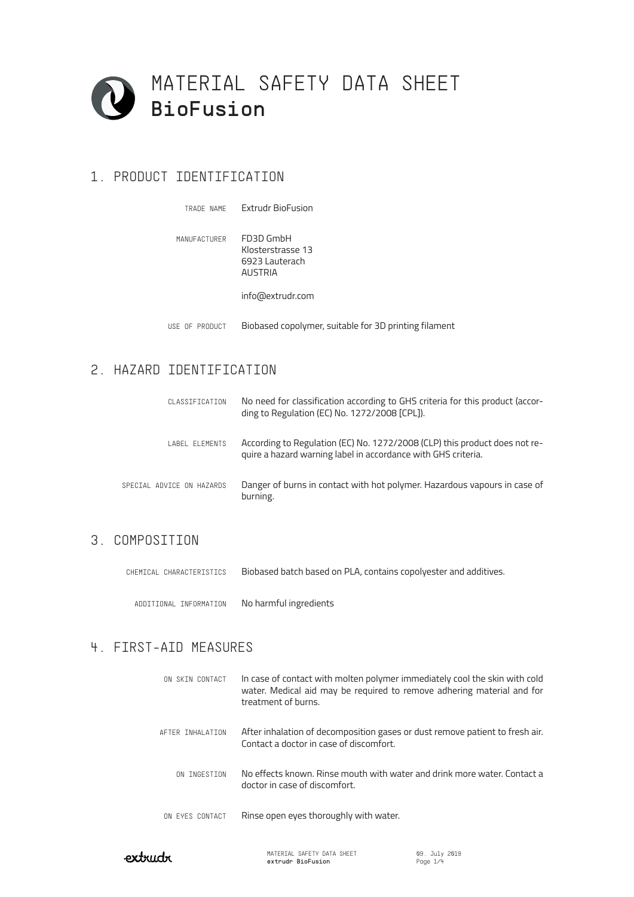

# 1. PRODUCT IDENTIFICATION

| TRADE NAME     | Extrudr BioFusion                                                  |
|----------------|--------------------------------------------------------------------|
| MANUFACTURER   | FD3D GmbH<br>Klosterstrasse 13<br>6923 Lauterach<br><b>AUSTRIA</b> |
|                | info@extrudr.com                                                   |
| USE OF PRODUCT | Biobased copolymer, suitable for 3D printing filament              |

# 2. HAZARD IDENTIFICATION

| CLASSIFICATION            | No need for classification according to GHS criteria for this product (accor-<br>ding to Regulation (EC) No. 1272/2008 [CPL]).              |
|---------------------------|---------------------------------------------------------------------------------------------------------------------------------------------|
| LABEL ELEMENTS            | According to Regulation (EC) No. 1272/2008 (CLP) this product does not re-<br>quire a hazard warning label in accordance with GHS criteria. |
| SPECIAL ADVICE ON HAZARDS | Danger of burns in contact with hot polymer. Hazardous vapours in case of<br>burning.                                                       |

## 3. COMPOSITION

CHEMICAL CHARACTERISTICS Biobased batch based on PLA, contains copolyester and additives.

ADDITIONAL INFORMATION No harmful ingredients

## 4. FIRST-AID MEASURES

| ON SKIN CONTACT  | In case of contact with molten polymer immediately cool the skin with cold<br>water. Medical aid may be required to remove adhering material and for<br>treatment of burns. |
|------------------|-----------------------------------------------------------------------------------------------------------------------------------------------------------------------------|
| AFTER INHALATION | After inhalation of decomposition gases or dust remove patient to fresh air.<br>Contact a doctor in case of discomfort.                                                     |
| ON INGESTION     | No effects known. Rinse mouth with water and drink more water. Contact a<br>doctor in case of discomfort.                                                                   |
| ON EYES CONTACT  | Rinse open eyes thoroughly with water.                                                                                                                                      |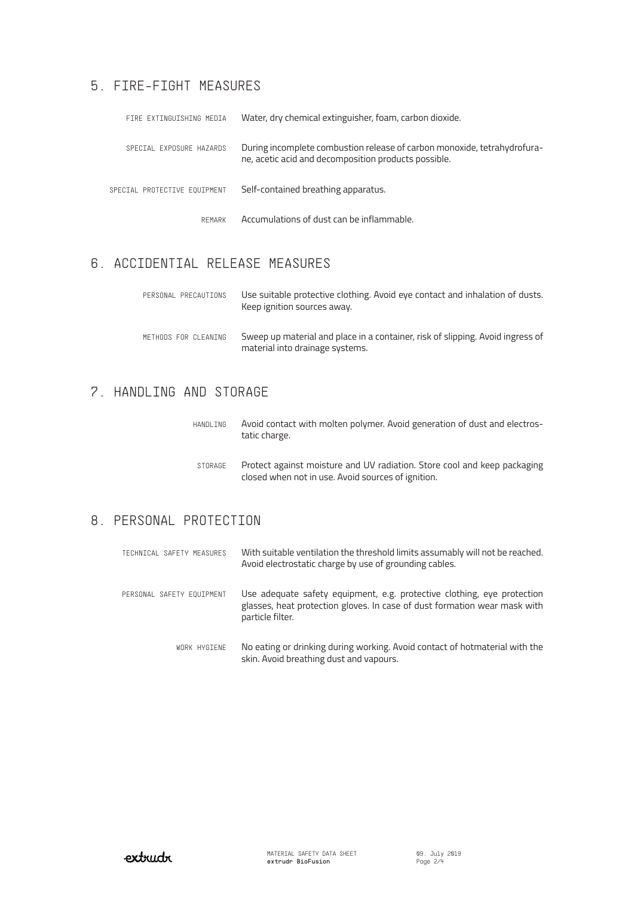# 5. FIRE-FIGHT MEASURES

| FIRE EXTINGUISHING MEDIA     | Water, dry chemical extinguisher, foam, carbon dioxide.                                                                          |
|------------------------------|----------------------------------------------------------------------------------------------------------------------------------|
| SPECIAL EXPOSURE HAZARDS     | During incomplete combustion release of carbon monoxide, tetrahydrofura-<br>ne, acetic acid and decomposition products possible. |
| SPECIAL PROTECTIVE EQUIPMENT | Self-contained breathing apparatus.                                                                                              |
| REMARK                       | Accumulations of dust can be inflammable.                                                                                        |

# 6. ACCIDENTIAL RELEASE MEASURES

| PERSONAL PRECAUTIONS | Use suitable protective clothing. Avoid eye contact and inhalation of dusts.<br>Keep ignition sources away.       |
|----------------------|-------------------------------------------------------------------------------------------------------------------|
| METHODS FOR CLEANING | Sweep up material and place in a container, risk of slipping. Avoid ingress of<br>material into drainage systems. |

# 7. HANDLING AND STORAGE

| HANDLING | Avoid contact with molten polymer. Avoid generation of dust and electros-<br>tatic charge.                                     |
|----------|--------------------------------------------------------------------------------------------------------------------------------|
| STORAGE  | Protect against moisture and UV radiation. Store cool and keep packaging<br>closed when not in use. Avoid sources of ignition. |

# 8. PERSONAL PROTECTION

| TECHNICAL SAFETY MEASURES | With suitable ventilation the threshold limits assumably will not be reached.<br>Avoid electrostatic charge by use of grounding cables.                                  |
|---------------------------|--------------------------------------------------------------------------------------------------------------------------------------------------------------------------|
| PERSONAL SAFETY EQUIPMENT | Use adequate safety equipment, e.g. protective clothing, eye protection<br>glasses, heat protection gloves. In case of dust formation wear mask with<br>particle filter. |
| WORK HYGIENE              | No eating or drinking during working. Avoid contact of hotmaterial with the<br>skin. Avoid breathing dust and vapours.                                                   |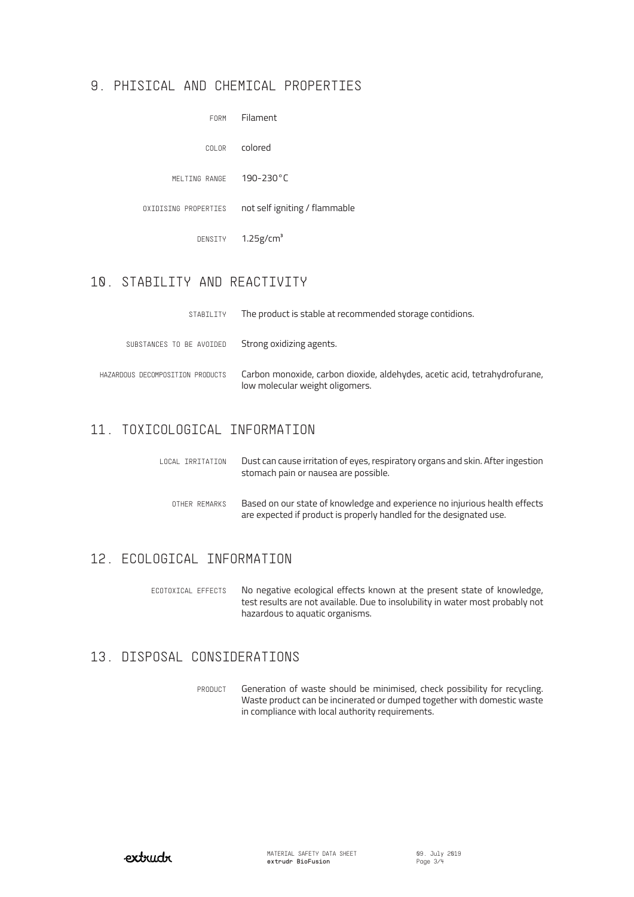#### 9. PHISICAL AND CHEMICAL PROPERTIES

| FORM                 | Filament                      |
|----------------------|-------------------------------|
| COLOR                | colored                       |
| MELTING RANGE        | 190-230°C                     |
| OXIDISING PROPERTIES | not self igniting / flammable |
| DENSITY              | $1.25$ g/cm <sup>3</sup>      |
|                      |                               |

# 10. STABILITY AND REACTIVITY

| STABILITY                        | The product is stable at recommended storage contidions.                                                      |
|----------------------------------|---------------------------------------------------------------------------------------------------------------|
| SUBSTANCES TO BE AVOIDED         | Strong oxidizing agents.                                                                                      |
| HAZARDOUS DECOMPOSITION PRODUCTS | Carbon monoxide, carbon dioxide, aldehydes, acetic acid, tetrahydrofurane,<br>low molecular weight oligomers. |

## 11. TOXICOLOGICAL INFORMATION

| LOCAL IRRITATION | Dust can cause irritation of eyes, respiratory organs and skin. After ingestion<br>stomach pain or nausea are possible.                           |
|------------------|---------------------------------------------------------------------------------------------------------------------------------------------------|
| OTHER REMARKS    | Based on our state of knowledge and experience no injurious health effects<br>are expected if product is properly handled for the designated use. |

## 12. ECOLOGICAL INFORMATION

No negative ecological effects known at the present state of knowledge, test results are not available. Due to insolubility in water most probably not hazardous to aquatic organisms. ECOTOXICAL EFFECTS

#### 13. DISPOSAL CONSIDERATIONS

Generation of waste should be minimised, check possibility for recycling. Waste product can be incinerated or dumped together with domestic waste in compliance with local authority requirements. **PRODUCT**